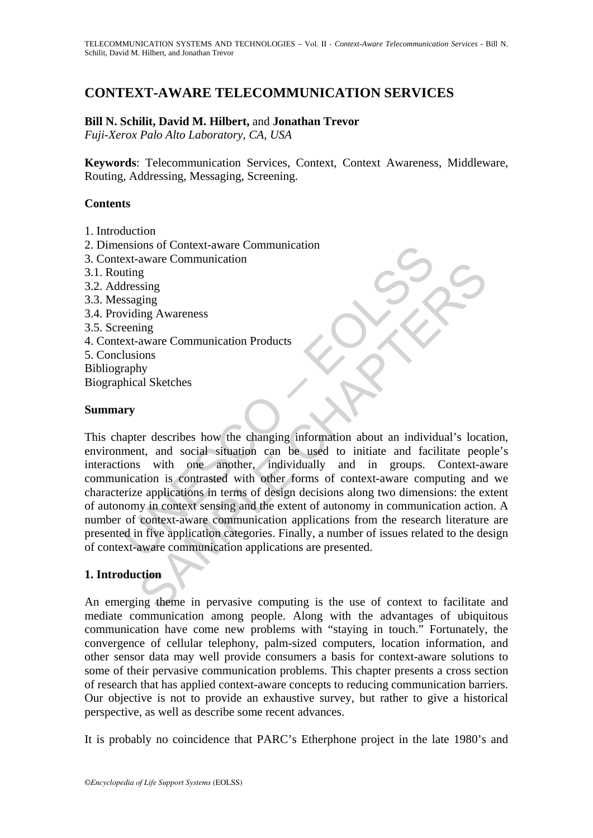# **CONTEXT-AWARE TELECOMMUNICATION SERVICES**

### **Bill N. Schilit, David M. Hilbert,** and **Jonathan Trevor**

*Fuji-Xerox Palo Alto Laboratory, CA, USA* 

**Keywords**: Telecommunication Services, Context, Context Awareness, Middleware, Routing, Addressing, Messaging, Screening.

### **Contents**

- 1. Introduction
- 2. Dimensions of Context-aware Communication
- 3. Context-aware Communication
- 3.1. Routing
- 3.2. Addressing
- 3.3. Messaging
- 3.4. Providing Awareness
- 3.5. Screening
- 4. Context-aware Communication Products
- 5. Conclusions
- Bibliography
- Biographical Sketches

#### **Summary**

The sext-aware communication<br>
atting<br>
staging<br>
staging<br>
staging<br>
staging<br>
staging<br>
staging<br>
staging<br>
staging<br>
widing Awareness<br>
staging<br>
staging<br>
widing Awareness<br>
lusions<br>
are communication Products<br>
lusions<br>
are communic Example and the communication Products<br>
in g<br>
igns<br>
in a waver Communication Products<br>
in a waver Communication Products<br>
in a waver Communication Products<br>
and Sketches<br>
er describes how the changing information about an This chapter describes how the changing information about an individual's location, environment, and social situation can be used to initiate and facilitate people's interactions with one another, individually and in groups. Context-aware communication is contrasted with other forms of context-aware computing and we characterize applications in terms of design decisions along two dimensions: the extent of autonomy in context sensing and the extent of autonomy in communication action. A number of context-aware communication applications from the research literature are presented in five application categories. Finally, a number of issues related to the design of context-aware communication applications are presented.

#### **1. Introduction**

An emerging theme in pervasive computing is the use of context to facilitate and mediate communication among people. Along with the advantages of ubiquitous communication have come new problems with "staying in touch." Fortunately, the convergence of cellular telephony, palm-sized computers, location information, and other sensor data may well provide consumers a basis for context-aware solutions to some of their pervasive communication problems. This chapter presents a cross section of research that has applied context-aware concepts to reducing communication barriers. Our objective is not to provide an exhaustive survey, but rather to give a historical perspective, as well as describe some recent advances.

It is probably no coincidence that PARC's Etherphone project in the late 1980's and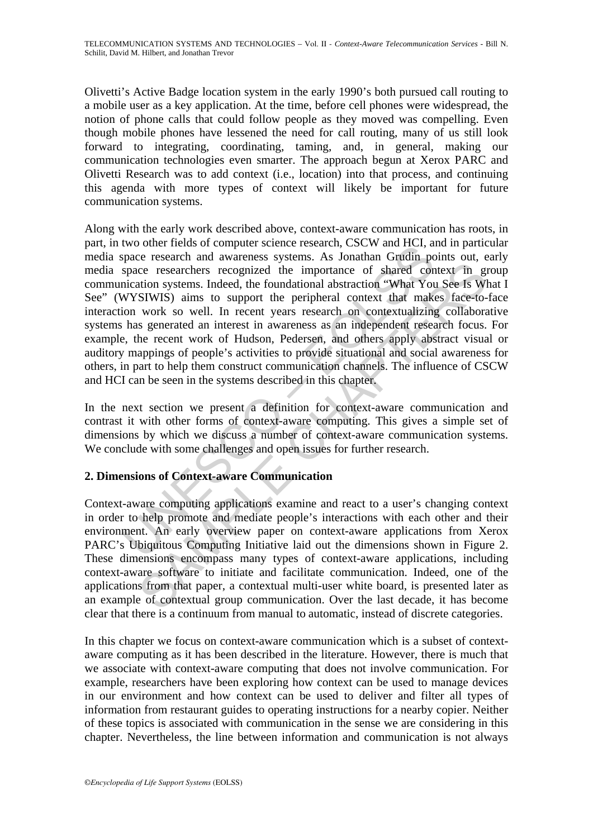Olivetti's Active Badge location system in the early 1990's both pursued call routing to a mobile user as a key application. At the time, before cell phones were widespread, the notion of phone calls that could follow people as they moved was compelling. Even though mobile phones have lessened the need for call routing, many of us still look forward to integrating, coordinating, taming, and, in general, making our communication technologies even smarter. The approach begun at Xerox PARC and Olivetti Research was to add context (i.e., location) into that process, and continuing this agenda with more types of context will likely be important for future communication systems.

Women frencis or compluer such enseating CSCS wand freq., at the oparatomy oppace research and awareness systems. As Jonathan Grudin pospace researchers recognized the importance of shared connication systems. Indeed, the contents are communication and react to a user's change of shares of context and set of context and set of context and moved with You See Is WIW work so well. In recent vers research on contextualizing collabors work so we Along with the early work described above, context-aware communication has roots, in part, in two other fields of computer science research, CSCW and HCI, and in particular media space research and awareness systems. As Jonathan Grudin points out, early media space researchers recognized the importance of shared context in group communication systems. Indeed, the foundational abstraction "What You See Is What I See" (WYSIWIS) aims to support the peripheral context that makes face-to-face interaction work so well. In recent years research on contextualizing collaborative systems has generated an interest in awareness as an independent research focus. For example, the recent work of Hudson, Pedersen, and others apply abstract visual or auditory mappings of people's activities to provide situational and social awareness for others, in part to help them construct communication channels. The influence of CSCW and HCI can be seen in the systems described in this chapter.

In the next section we present a definition for context-aware communication and contrast it with other forms of context-aware computing. This gives a simple set of dimensions by which we discuss a number of context-aware communication systems. We conclude with some challenges and open issues for further research.

## **2. Dimensions of Context-aware Communication**

Context-aware computing applications examine and react to a user's changing context in order to help promote and mediate people's interactions with each other and their environment. An early overview paper on context-aware applications from Xerox PARC's Ubiquitous Computing Initiative laid out the dimensions shown in Figure 2. These dimensions encompass many types of context-aware applications, including context-aware software to initiate and facilitate communication. Indeed, one of the applications from that paper, a contextual multi-user white board, is presented later as an example of contextual group communication. Over the last decade, it has become clear that there is a continuum from manual to automatic, instead of discrete categories.

In this chapter we focus on context-aware communication which is a subset of contextaware computing as it has been described in the literature. However, there is much that we associate with context-aware computing that does not involve communication. For example, researchers have been exploring how context can be used to manage devices in our environment and how context can be used to deliver and filter all types of information from restaurant guides to operating instructions for a nearby copier. Neither of these topics is associated with communication in the sense we are considering in this chapter. Nevertheless, the line between information and communication is not always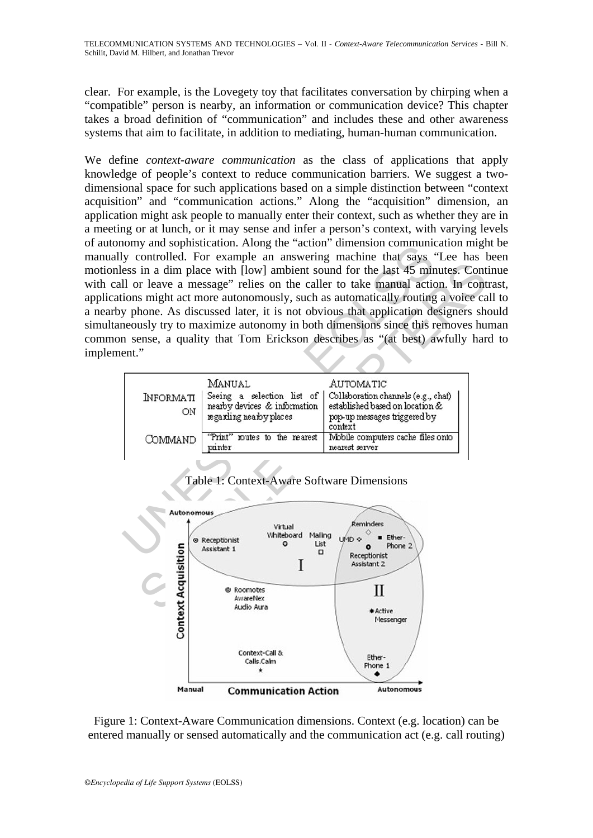clear. For example, is the Lovegety toy that facilitates conversation by chirping when a "compatible" person is nearby, an information or communication device? This chapter takes a broad definition of "communication" and includes these and other awareness systems that aim to facilitate, in addition to mediating, human-human communication.

UNIV and Sophistication. Aring the action times on the case of the security of the security of the security of the security of the security phone. As discussed later, it is not obvious that application dependently y phone We define *context-aware communication* as the class of applications that apply knowledge of people's context to reduce communication barriers. We suggest a twodimensional space for such applications based on a simple distinction between "context acquisition" and "communication actions." Along the "acquisition" dimension, an application might ask people to manually enter their context, such as whether they are in a meeting or at lunch, or it may sense and infer a person's context, with varying levels of autonomy and sophistication. Along the "action" dimension communication might be manually controlled. For example an answering machine that says "Lee has been motionless in a dim place with [low] ambient sound for the last 45 minutes. Continue with call or leave a message" relies on the caller to take manual action. In contrast, applications might act more autonomously, such as automatically routing a voice call to a nearby phone. As discussed later, it is not obvious that application designers should simultaneously try to maximize autonomy in both dimensions since this removes human common sense, a quality that Tom Erickson describes as "(at best) awfully hard to implement."

| <b>INFORMATI</b><br>ΟN | MANUAL<br>nearby devices & information                              | AUTOMATIC<br>Seeing a selection list of   Collaboration channels (e.g., chat)<br>established based on location & |
|------------------------|---------------------------------------------------------------------|------------------------------------------------------------------------------------------------------------------|
| COMMAND                | regarding nearby places<br>"Print" routes to the rearest<br>printer | pop-up messages triggered by<br>context<br>Mobile computers cache files onto<br>nearest server                   |

# Table 1: Context-Aware Software Dimensions



Figure 1: Context-Aware Communication dimensions. Context (e.g. location) can be entered manually or sensed automatically and the communication act (e.g. call routing)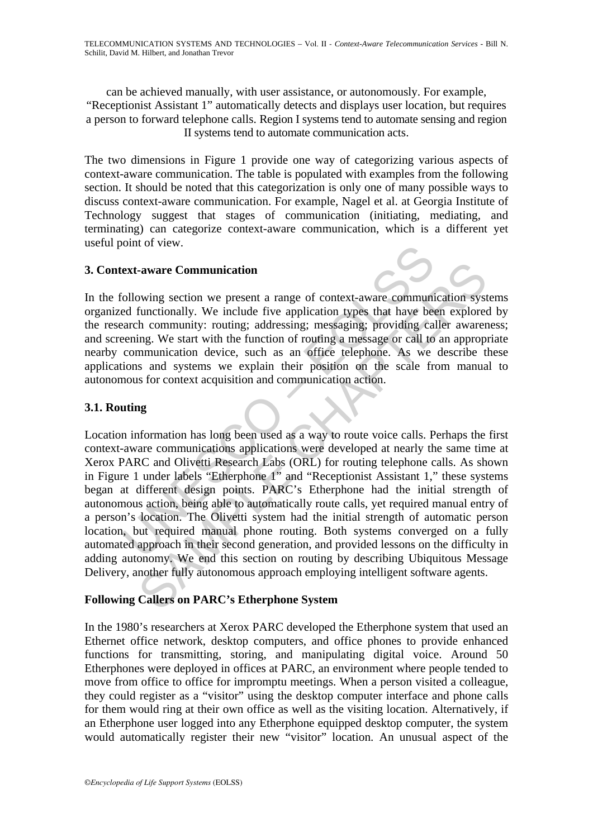can be achieved manually, with user assistance, or autonomously. For example, "Receptionist Assistant 1" automatically detects and displays user location, but requires a person to forward telephone calls. Region I systems tend to automate sensing and region II systems tend to automate communication acts.

The two dimensions in Figure 1 provide one way of categorizing various aspects of context-aware communication. The table is populated with examples from the following section. It should be noted that this categorization is only one of many possible ways to discuss context-aware communication. For example, Nagel et al. at Georgia Institute of Technology suggest that stages of communication (initiating, mediating, and terminating) can categorize context-aware communication, which is a different yet useful point of view.

## **3. Context-aware Communication**

In the following section we present a range of context-aware communication systems organized functionally. We include five application types that have been explored by the research community: routing; addressing; messaging; providing caller awareness; and screening. We start with the function of routing a message or call to an appropriate nearby communication device, such as an office telephone. As we describe these applications and systems we explain their position on the scale from manual to autonomous for context acquisition and communication action.

# **3.1. Routing**

ext-aware Communication<br>
collowing section we present a range of context-aware communited<br>
difunctionally. We include five application types that have been<br>
exemped community: routing; addressing; messaging; providing can<br> -aware Communication<br>
wing section we present a range of context-aware communication syst<br>
functionally. We include five application types that have been explore<br>
the community: routing: addressing; messaging; providing c Location information has long been used as a way to route voice calls. Perhaps the first context-aware communications applications were developed at nearly the same time at Xerox PARC and Olivetti Research Labs (ORL) for routing telephone calls. As shown in Figure 1 under labels "Etherphone 1" and "Receptionist Assistant 1," these systems began at different design points. PARC's Etherphone had the initial strength of autonomous action, being able to automatically route calls, yet required manual entry of a person's location. The Olivetti system had the initial strength of automatic person location, but required manual phone routing. Both systems converged on a fully automated approach in their second generation, and provided lessons on the difficulty in adding autonomy. We end this section on routing by describing Ubiquitous Message Delivery, another fully autonomous approach employing intelligent software agents.

## **Following Callers on PARC's Etherphone System**

In the 1980's researchers at Xerox PARC developed the Etherphone system that used an Ethernet office network, desktop computers, and office phones to provide enhanced functions for transmitting, storing, and manipulating digital voice. Around 50 Etherphones were deployed in offices at PARC, an environment where people tended to move from office to office for impromptu meetings. When a person visited a colleague, they could register as a "visitor" using the desktop computer interface and phone calls for them would ring at their own office as well as the visiting location. Alternatively, if an Etherphone user logged into any Etherphone equipped desktop computer, the system would automatically register their new "visitor" location. An unusual aspect of the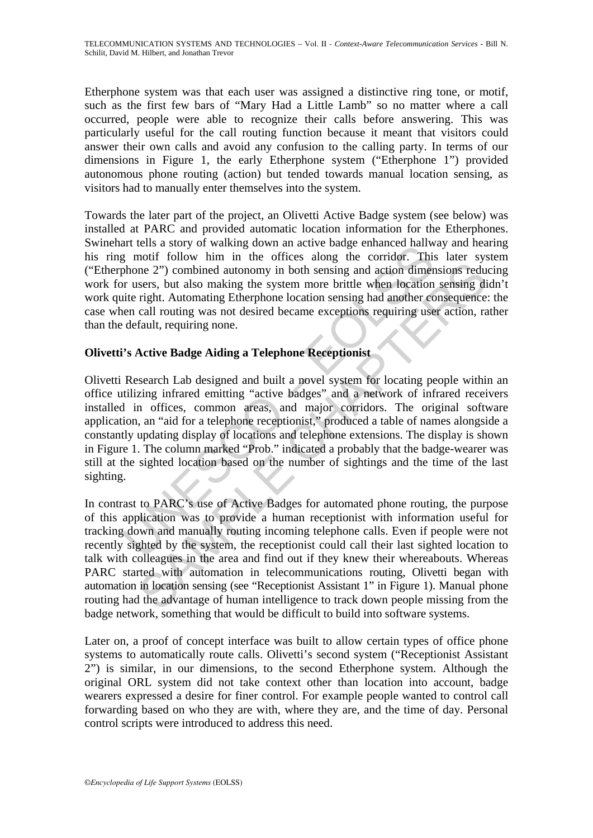Etherphone system was that each user was assigned a distinctive ring tone, or motif, such as the first few bars of "Mary Had a Little Lamb" so no matter where a call occurred, people were able to recognize their calls before answering. This was particularly useful for the call routing function because it meant that visitors could answer their own calls and avoid any confusion to the calling party. In terms of our dimensions in Figure 1, the early Etherphone system ("Etherphone 1") provided autonomous phone routing (action) but tended towards manual location sensing, as visitors had to manually enter themselves into the system.

Towards the later part of the project, an Olivetti Active Badge system (see below) was installed at PARC and provided automatic location information for the Etherphones. Swinehart tells a story of walking down an active badge enhanced hallway and hearing his ring motif follow him in the offices along the corridor. This later system ("Etherphone 2") combined autonomy in both sensing and action dimensions reducing work for users, but also making the system more brittle when location sensing didn't work quite right. Automating Etherphone location sensing had another consequence: the case when call routing was not desired became exceptions requiring user action, rather than the default, requiring none.

# **Olivetti's Active Badge Aiding a Telephone Receptionist**

art cuss a story of wanking down an active badge emainted and their as signification and the gradient and the orifices along the corridor. This phone 2") combined autonomy in both sensing and action diment or users, but al Olivetti Research Lab designed and built a novel system for locating people within an office utilizing infrared emitting "active badges" and a network of infrared receivers installed in offices, common areas, and major corridors. The original software application, an "aid for a telephone receptionist," produced a table of names alongside a constantly updating display of locations and telephone extensions. The display is shown in Figure 1. The column marked "Prob." indicated a probably that the badge-wearer was still at the sighted location based on the number of sightings and the time of the last sighting.

me 2") combined autonomy in both sensing and action dimensions reduces.<br>
The 2") combined autonomy in both sensing and action dimensions reduces.<br>
Note that the system more brittle when location sensing digrip.<br>
Active Bad In contrast to PARC's use of Active Badges for automated phone routing, the purpose of this application was to provide a human receptionist with information useful for tracking down and manually routing incoming telephone calls. Even if people were not recently sighted by the system, the receptionist could call their last sighted location to talk with colleagues in the area and find out if they knew their whereabouts. Whereas PARC started with automation in telecommunications routing, Olivetti began with automation in location sensing (see "Receptionist Assistant 1" in Figure 1). Manual phone routing had the advantage of human intelligence to track down people missing from the badge network, something that would be difficult to build into software systems.

Later on, a proof of concept interface was built to allow certain types of office phone systems to automatically route calls. Olivetti's second system ("Receptionist Assistant 2") is similar, in our dimensions, to the second Etherphone system. Although the original ORL system did not take context other than location into account, badge wearers expressed a desire for finer control. For example people wanted to control call forwarding based on who they are with, where they are, and the time of day. Personal control scripts were introduced to address this need.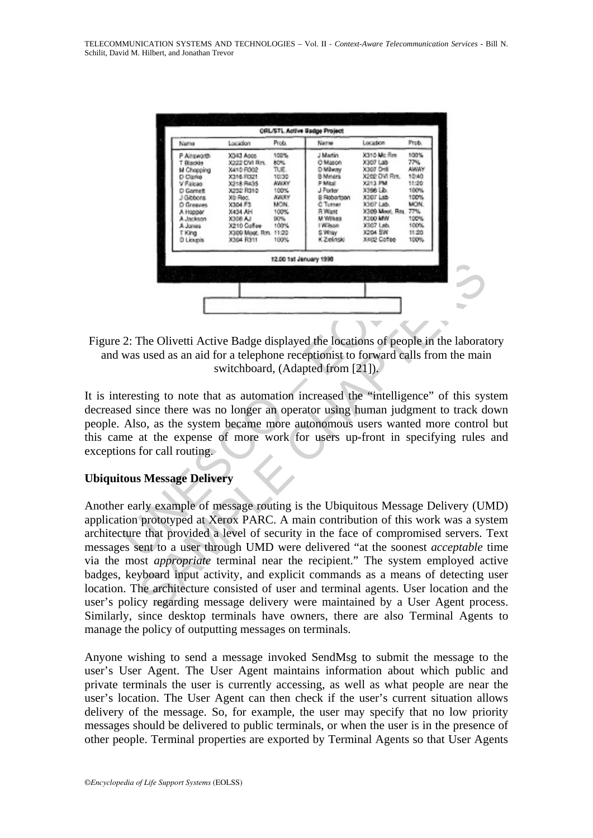| CRL/STL Active Bodge Project<br>Prob.<br>Location<br>Name<br>Prob.<br>Location<br>Name<br>X340 Mo Rm<br>100%<br>100%<br>J Martin<br>P.Ainsworth<br>X343 Apps<br>77%<br>60%<br>O Mason<br>X307 Lab<br>X222 DVI Rm.<br>T Blackle<br>X307 Drill<br>amar<br>TUE.<br>D Milway<br><b>M Chopping</b><br>3410 FOO2<br>10:30<br>B Miners<br>X202 OVI Ros.<br>1040<br>2016 FD21<br>D Glarke<br><b>HAUCH</b><br>11:20<br>3218 PA35<br>P Mital<br>X213 PM<br>V Falcao<br>100%<br>100%<br>J Porter<br>3366 LD.<br>D Garsett<br>X232 FB10<br><b>KAUSY</b><br>X307 Ltd.<br>100%<br>B Robertson<br>J Gibbons<br>XD Rog.<br>MON.<br>MON.<br>X304 F3<br>C Tutner<br>X307 Lab.<br>D Greaves<br>100%<br>X309 Meet, Rm.<br>77%<br>X434 AH<br><b>B</b> Want<br>A Hopper<br>M Wilkes<br><b>X300 MW</b><br>100%<br>3308 AJ<br>90%<br>A Jackson<br>X307 Lab.<br>100%<br>100%<br>I Wilson<br>X210 Collee<br>A Jones<br><b>X204 SW</b><br>11:20<br>X309 Moot, Rm. 11:20<br>S Whey<br>T King<br>K Zielinski<br>XAIO Coffee<br>D Lioupia<br>X304 R311<br>100%<br>100%<br>12.00 1st January 1999<br>2: The Olivetti Active Badge displayed the locations of people in the labor<br>was used as an aid for a telephone receptionist to forward calls from the n<br>switchboard, (Adapted from [21]).<br>eresting to note that as automation increased the "intelligence" of this<br>ed since there was no longer an operator using human judgment to trac<br>Also, as the system became more autonomous users wanted more con<br>me at the expense of more work for users up-front in specifying rul |                          |  |  |
|-----------------------------------------------------------------------------------------------------------------------------------------------------------------------------------------------------------------------------------------------------------------------------------------------------------------------------------------------------------------------------------------------------------------------------------------------------------------------------------------------------------------------------------------------------------------------------------------------------------------------------------------------------------------------------------------------------------------------------------------------------------------------------------------------------------------------------------------------------------------------------------------------------------------------------------------------------------------------------------------------------------------------------------------------------------------------------------------------------------------------------------------------------------------------------------------------------------------------------------------------------------------------------------------------------------------------------------------------------------------------------------------------------------------------------------------------------------------------------------------------------------------------------------------------------------------------|--------------------------|--|--|
|                                                                                                                                                                                                                                                                                                                                                                                                                                                                                                                                                                                                                                                                                                                                                                                                                                                                                                                                                                                                                                                                                                                                                                                                                                                                                                                                                                                                                                                                                                                                                                       |                          |  |  |
|                                                                                                                                                                                                                                                                                                                                                                                                                                                                                                                                                                                                                                                                                                                                                                                                                                                                                                                                                                                                                                                                                                                                                                                                                                                                                                                                                                                                                                                                                                                                                                       |                          |  |  |
|                                                                                                                                                                                                                                                                                                                                                                                                                                                                                                                                                                                                                                                                                                                                                                                                                                                                                                                                                                                                                                                                                                                                                                                                                                                                                                                                                                                                                                                                                                                                                                       |                          |  |  |
|                                                                                                                                                                                                                                                                                                                                                                                                                                                                                                                                                                                                                                                                                                                                                                                                                                                                                                                                                                                                                                                                                                                                                                                                                                                                                                                                                                                                                                                                                                                                                                       |                          |  |  |
|                                                                                                                                                                                                                                                                                                                                                                                                                                                                                                                                                                                                                                                                                                                                                                                                                                                                                                                                                                                                                                                                                                                                                                                                                                                                                                                                                                                                                                                                                                                                                                       |                          |  |  |
|                                                                                                                                                                                                                                                                                                                                                                                                                                                                                                                                                                                                                                                                                                                                                                                                                                                                                                                                                                                                                                                                                                                                                                                                                                                                                                                                                                                                                                                                                                                                                                       | $\cos$ for call routing. |  |  |
|                                                                                                                                                                                                                                                                                                                                                                                                                                                                                                                                                                                                                                                                                                                                                                                                                                                                                                                                                                                                                                                                                                                                                                                                                                                                                                                                                                                                                                                                                                                                                                       | tous Message Delivery    |  |  |

Figure 2: The Olivetti Active Badge displayed the locations of people in the laboratory and was used as an aid for a telephone receptionist to forward calls from the main switchboard, (Adapted from [21]).

It is interesting to note that as automation increased the "intelligence" of this system decreased since there was no longer an operator using human judgment to track down people. Also, as the system became more autonomous users wanted more control but this came at the expense of more work for users up-front in specifying rules and exceptions for call routing.

## **Ubiquitous Message Delivery**

The Olivetti Active Badge displayed the locations of people in the laborat<br>sused as an aid for a telephone receptionist to forward calls from the main<br>switchboard, (Adapted from [21]).<br>Sting to note that as automation incr Another early example of message routing is the Ubiquitous Message Delivery (UMD) application prototyped at Xerox PARC. A main contribution of this work was a system architecture that provided a level of security in the face of compromised servers. Text messages sent to a user through UMD were delivered "at the soonest *acceptable* time via the most *appropriate* terminal near the recipient." The system employed active badges, keyboard input activity, and explicit commands as a means of detecting user location. The architecture consisted of user and terminal agents. User location and the user's policy regarding message delivery were maintained by a User Agent process. Similarly, since desktop terminals have owners, there are also Terminal Agents to manage the policy of outputting messages on terminals.

Anyone wishing to send a message invoked SendMsg to submit the message to the user's User Agent. The User Agent maintains information about which public and private terminals the user is currently accessing, as well as what people are near the user's location. The User Agent can then check if the user's current situation allows delivery of the message. So, for example, the user may specify that no low priority messages should be delivered to public terminals, or when the user is in the presence of other people. Terminal properties are exported by Terminal Agents so that User Agents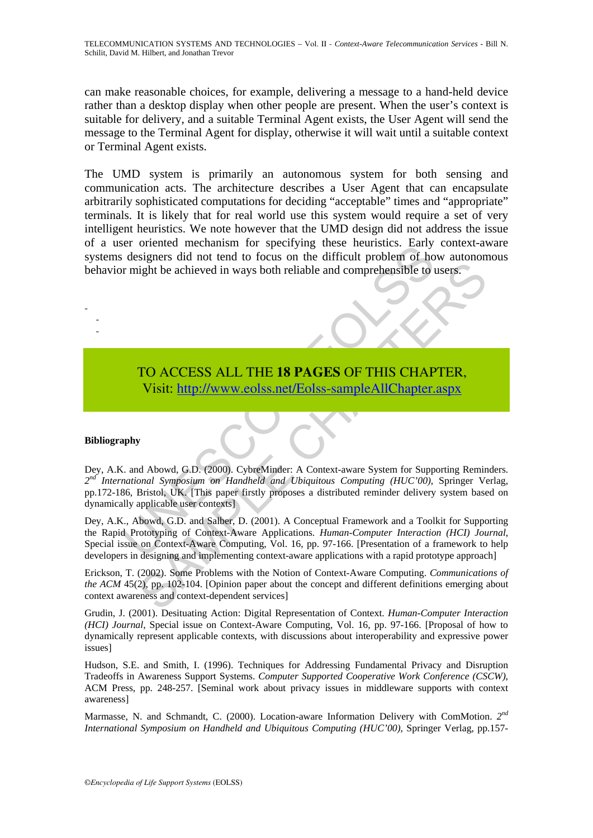can make reasonable choices, for example, delivering a message to a hand-held device rather than a desktop display when other people are present. When the user's context is suitable for delivery, and a suitable Terminal Agent exists, the User Agent will send the message to the Terminal Agent for display, otherwise it will wait until a suitable context or Terminal Agent exists.

The UMD system is primarily an autonomous system for both sensing and communication acts. The architecture describes a User Agent that can encapsulate arbitrarily sophisticated computations for deciding "acceptable" times and "appropriate" terminals. It is likely that for real world use this system would require a set of very intelligent heuristics. We note however that the UMD design did not address the issue of a user oriented mechanism for specifying these heuristics. Early context-aware systems designers did not tend to focus on the difficult problem of how autonomous behavior might be achieved in ways both reliable and comprehensible to users.

# TO ACCESS ALL THE **18 PAGES** OF THIS CHAPTER, Visit: http://www.eolss.net/Eolss-sampleAllChapter.aspx

#### **Bibliography**

- - -

The designers did not tend to focus on the difficult problem of home might be achieved in ways both reliable and comprehensible to the might be achieved in ways both reliable and comprehensible to the might be achieved in The achieved in ways both reliable and comprehensible to users.<br>
TO ACCESS ALL THE 18 PAGES OF THIS C[HAP](https://www.eolss.net/ebooklib/sc_cart.aspx?File=E6-108-20)TER,<br>
Visit: http://www.eolss.net/Eolss-sampleAllChapter.aspx<br>
y<br>
Mad Abowd, G.D. (2000). CybreNinder: A Context-aware Dey, A.K. and Abowd, G.D. (2000). CybreMinder: A Context-aware System for Supporting Reminders. *2nd International Symposium on Handheld and Ubiquitous Computing (HUC'00)*, Springer Verlag, pp.172-186, Bristol, UK. [This paper firstly proposes a distributed reminder delivery system based on dynamically applicable user contexts]

Dey, A.K., Abowd, G.D. and Salber, D. (2001). A Conceptual Framework and a Toolkit for Supporting the Rapid Prototyping of Context-Aware Applications. *Human-Computer Interaction (HCI) Journal*, Special issue on Context-Aware Computing, Vol. 16, pp. 97-166. [Presentation of a framework to help developers in designing and implementing context-aware applications with a rapid prototype approach]

Erickson, T. (2002). Some Problems with the Notion of Context-Aware Computing. *Communications of the ACM* 45(2), pp. 102-104. [Opinion paper about the concept and different definitions emerging about context awareness and context-dependent services]

Grudin, J. (2001). Desituating Action: Digital Representation of Context. *Human-Computer Interaction (HCI) Journal*, Special issue on Context-Aware Computing, Vol. 16, pp. 97-166. [Proposal of how to dynamically represent applicable contexts, with discussions about interoperability and expressive power issues]

Hudson, S.E. and Smith, I. (1996). Techniques for Addressing Fundamental Privacy and Disruption Tradeoffs in Awareness Support Systems. *Computer Supported Cooperative Work Conference (CSCW)*, ACM Press, pp. 248-257. [Seminal work about privacy issues in middleware supports with context awareness]

Marmasse, N. and Schmandt, C. (2000). Location-aware Information Delivery with ComMotion. *2nd International Symposium on Handheld and Ubiquitous Computing (HUC'00)*, Springer Verlag, pp.157-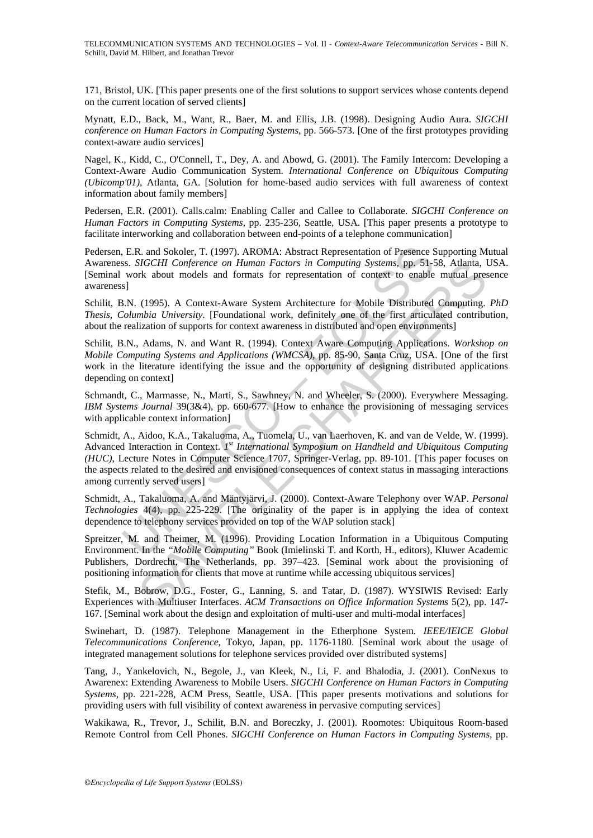171, Bristol, UK. [This paper presents one of the first solutions to support services whose contents depend on the current location of served clients]

Mynatt, E.D., Back, M., Want, R., Baer, M. and Ellis, J.B. (1998). Designing Audio Aura. *SIGCHI conference on Human Factors in Computing Systems*, pp. 566-573. [One of the first prototypes providing context-aware audio services]

Nagel, K., Kidd, C., O'Connell, T., Dey, A. and Abowd, G. (2001). The Family Intercom: Developing a Context-Aware Audio Communication System. *International Conference on Ubiquitous Computing (Ubicomp'01)*, Atlanta, GA. [Solution for home-based audio services with full awareness of context information about family members]

Pedersen, E.R. (2001). Calls.calm: Enabling Caller and Callee to Collaborate. *SIGCHI Conference on Human Factors in Computing Systems*, pp. 235-236, Seattle, USA. [This paper presents a prototype to facilitate interworking and collaboration between end-points of a telephone communication]

Pedersen, E.R. and Sokoler, T. (1997). AROMA: Abstract Representation of Presence Supporting Mutual Awareness. *SIGCHI Conference on Human Factors in Computing Systems*, pp. 51-58, Atlanta, USA. [Seminal work about models and formats for representation of context to enable mutual presence awareness]

Schilit, B.N. (1995). A Context-Aware System Architecture for Mobile Distributed Computing. *PhD Thesis, Columbia University*. [Foundational work, definitely one of the first articulated contribution, about the realization of supports for context awareness in distributed and open environments]

Schilit, B.N., Adams, N. and Want R. (1994). Context Aware Computing Applications. *Workshop on Mobile Computing Systems and Applications (WMCSA)*, pp. 85-90, Santa Cruz, USA. [One of the first work in the literature identifying the issue and the opportunity of designing distributed applications depending on context]

Schmandt, C., Marmasse, N., Marti, S., Sawhney, N. and Wheeler, S. (2000). Everywhere Messaging. *IBM Systems Journal* 39(3&4), pp. 660-677. [How to enhance the provisioning of messaging services with applicable context information]

, E.R. and Sokoler, T. (1997). AROMA: Abstract Representation of Presence Ss. SIGCHI Conference on Human Factors in Computing Systems, pp. 51-5<br>work about models and formats for representation of context to enable<br>work abo SIGCHI Conference on Human Factors in Computing Systems, pp. 51-58, Atlanta, the short models and formats for representation of context to enable mutual presentation (1995). A Context-Aware System Architecture for Mobile Schmidt, A., Aidoo, K.A., Takaluoma, A., Tuomela, U., van Laerhoven, K. and van de Velde, W. (1999). Advanced Interaction in Context. *1st International Symposium on Handheld and Ubiquitous Computing (HUC)*, Lecture Notes in Computer Science 1707, Springer-Verlag, pp. 89-101. [This paper focuses on the aspects related to the desired and envisioned consequences of context status in massaging interactions among currently served users]

Schmidt, A., Takaluoma, A. and Mäntyjärvi, J. (2000). Context-Aware Telephony over WAP. *Personal Technologies* 4(4), pp. 225-229. [The originality of the paper is in applying the idea of context dependence to telephony services provided on top of the WAP solution stack]

Spreitzer, M. and Theimer, M. (1996). Providing Location Information in a Ubiquitous Computing Environment. In the *"Mobile Computing"* Book (Imielinski T. and Korth, H., editors), Kluwer Academic Publishers, Dordrecht, The Netherlands, pp. 397–423. [Seminal work about the provisioning of positioning information for clients that move at runtime while accessing ubiquitous services]

Stefik, M., Bobrow, D.G., Foster, G., Lanning, S. and Tatar, D. (1987). WYSIWIS Revised: Early Experiences with Multiuser Interfaces. *ACM Transactions on Office Information Systems* 5(2), pp. 147- 167. [Seminal work about the design and exploitation of multi-user and multi-modal interfaces]

Swinehart, D. (1987). Telephone Management in the Etherphone System. *IEEE/IEICE Global Telecommunications Conference*, Tokyo, Japan, pp. 1176-1180. [Seminal work about the usage of integrated management solutions for telephone services provided over distributed systems]

Tang, J., Yankelovich, N., Begole, J., van Kleek, N., Li, F. and Bhalodia, J. (2001). ConNexus to Awarenex: Extending Awareness to Mobile Users. *SIGCHI Conference on Human Factors in Computing Systems*, pp. 221-228, ACM Press, Seattle, USA. [This paper presents motivations and solutions for providing users with full visibility of context awareness in pervasive computing services]

Wakikawa, R., Trevor, J., Schilit, B.N. and Boreczky, J. (2001). Roomotes: Ubiquitous Room-based Remote Control from Cell Phones. *SIGCHI Conference on Human Factors in Computing Systems*, pp.